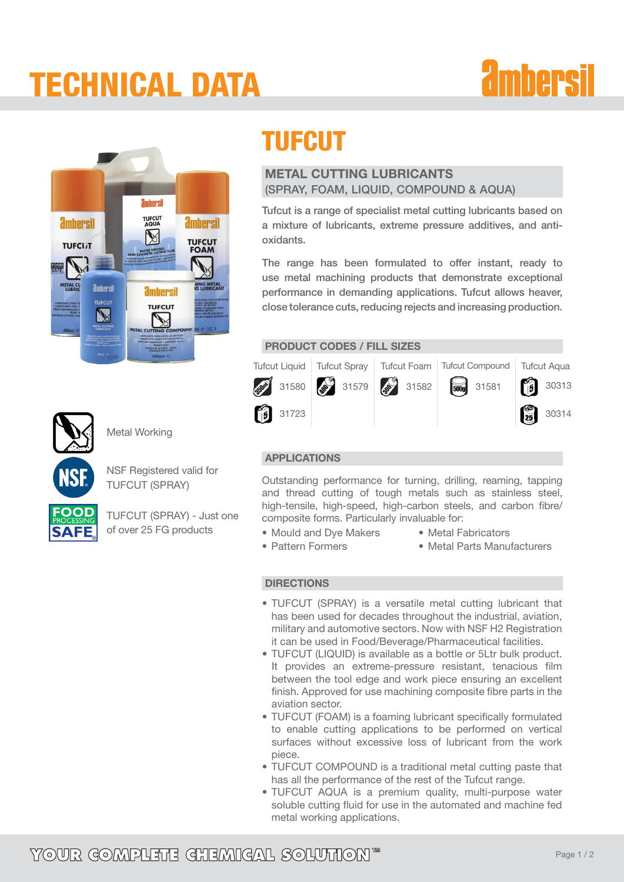### tECHNICAL dATA

# *<u>amhersil</u>*



### TUFCUT

### METAL CUTTING LUBRICANTS (Spray, Foam, Liquid, Compound & Aqua)

Tufcut is a range of specialist metal cutting lubricants based on a mixture of lubricants, extreme pressure additives, and antioxidants.

The range has been formulated to offer instant, ready to use metal machining products that demonstrate exceptional performance in demanding applications. Tufcut allows heaver, close tolerance cuts, reducing rejects and increasing production.

PRODUCT CODES / FILL SIZES



### APPLICATIONS

Outstanding performance for turning, drilling, reaming, tapping and thread cutting of tough metals such as stainless steel, high-tensile, high-speed, high-carbon steels, and carbon fibre/ composite forms. Particularly invaluable for:

- Mould and Dye Makers • Pattern Formers
- • Metal Fabricators
- • Metal Parts Manufacturers

### DIRECTIONS

- TUFCUT (SPRAY) is a versatile metal cutting lubricant that has been used for decades throughout the industrial, aviation, military and automotive sectors. Now with NSF H2 Registration it can be used in Food/Beverage/Pharmaceutical facilities.
- TUFCUT (LIQUID) is available as a bottle or 5Ltr bulk product. It provides an extreme-pressure resistant, tenacious film between the tool edge and work piece ensuring an excellent finish. Approved for use machining composite fibre parts in the aviation sector.
- TUFCUT (FOAM) is a foaming lubricant specifically formulated to enable cutting applications to be performed on vertical surfaces without excessive loss of lubricant from the work piece.
- TUFCUT COMPOUND is a traditional metal cutting paste that has all the performance of the rest of the Tufcut range.
- TUFCUT AQUA is a premium quality, multi-purpose water soluble cutting fluid for use in the automated and machine fed metal working applications.



NSF Registered valid for TUFCUT (SPRAY)

Metal Working



TUFCUT (SPRAY) - Just one of over 25 FG products